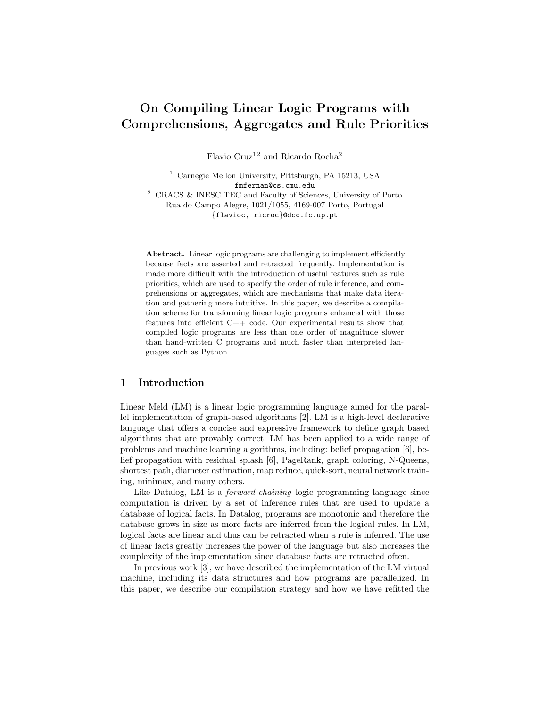# On Compiling Linear Logic Programs with Comprehensions, Aggregates and Rule Priorities

Flavio Cruz<sup>12</sup> and Ricardo Rocha<sup>2</sup>

<sup>1</sup> Carnegie Mellon University, Pittsburgh, PA 15213, USA fmfernan@cs.cmu.edu <sup>2</sup> CRACS & INESC TEC and Faculty of Sciences, University of Porto Rua do Campo Alegre, 1021/1055, 4169-007 Porto, Portugal {flavioc, ricroc}@dcc.fc.up.pt

Abstract. Linear logic programs are challenging to implement efficiently because facts are asserted and retracted frequently. Implementation is made more difficult with the introduction of useful features such as rule priorities, which are used to specify the order of rule inference, and comprehensions or aggregates, which are mechanisms that make data iteration and gathering more intuitive. In this paper, we describe a compilation scheme for transforming linear logic programs enhanced with those features into efficient C++ code. Our experimental results show that compiled logic programs are less than one order of magnitude slower than hand-written C programs and much faster than interpreted languages such as Python.

# 1 Introduction

Linear Meld (LM) is a linear logic programming language aimed for the parallel implementation of graph-based algorithms [2]. LM is a high-level declarative language that offers a concise and expressive framework to define graph based algorithms that are provably correct. LM has been applied to a wide range of problems and machine learning algorithms, including: belief propagation [6], belief propagation with residual splash [6], PageRank, graph coloring, N-Queens, shortest path, diameter estimation, map reduce, quick-sort, neural network training, minimax, and many others.

Like Datalog, LM is a *forward-chaining* logic programming language since computation is driven by a set of inference rules that are used to update a database of logical facts. In Datalog, programs are monotonic and therefore the database grows in size as more facts are inferred from the logical rules. In LM, logical facts are linear and thus can be retracted when a rule is inferred. The use of linear facts greatly increases the power of the language but also increases the complexity of the implementation since database facts are retracted often.

In previous work [3], we have described the implementation of the LM virtual machine, including its data structures and how programs are parallelized. In this paper, we describe our compilation strategy and how we have refitted the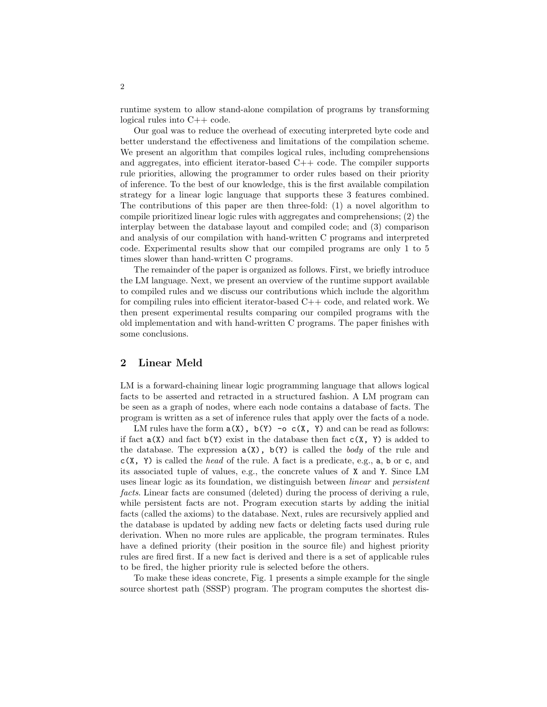runtime system to allow stand-alone compilation of programs by transforming logical rules into C++ code.

Our goal was to reduce the overhead of executing interpreted byte code and better understand the effectiveness and limitations of the compilation scheme. We present an algorithm that compiles logical rules, including comprehensions and aggregates, into efficient iterator-based  $C++$  code. The compiler supports rule priorities, allowing the programmer to order rules based on their priority of inference. To the best of our knowledge, this is the first available compilation strategy for a linear logic language that supports these 3 features combined. The contributions of this paper are then three-fold: (1) a novel algorithm to compile prioritized linear logic rules with aggregates and comprehensions; (2) the interplay between the database layout and compiled code; and (3) comparison and analysis of our compilation with hand-written C programs and interpreted code. Experimental results show that our compiled programs are only 1 to 5 times slower than hand-written C programs.

The remainder of the paper is organized as follows. First, we briefly introduce the LM language. Next, we present an overview of the runtime support available to compiled rules and we discuss our contributions which include the algorithm for compiling rules into efficient iterator-based C++ code, and related work. We then present experimental results comparing our compiled programs with the old implementation and with hand-written C programs. The paper finishes with some conclusions.

# 2 Linear Meld

LM is a forward-chaining linear logic programming language that allows logical facts to be asserted and retracted in a structured fashion. A LM program can be seen as a graph of nodes, where each node contains a database of facts. The program is written as a set of inference rules that apply over the facts of a node.

LM rules have the form  $a(X)$ ,  $b(Y)$  -o  $c(X, Y)$  and can be read as follows: if fact  $a(X)$  and fact  $b(Y)$  exist in the database then fact  $c(X, Y)$  is added to the database. The expression  $a(X)$ ,  $b(Y)$  is called the *body* of the rule and  $c(X, Y)$  is called the *head* of the rule. A fact is a predicate, e.g., a, b or c, and its associated tuple of values, e.g., the concrete values of X and Y. Since LM uses linear logic as its foundation, we distinguish between linear and persistent facts. Linear facts are consumed (deleted) during the process of deriving a rule, while persistent facts are not. Program execution starts by adding the initial facts (called the axioms) to the database. Next, rules are recursively applied and the database is updated by adding new facts or deleting facts used during rule derivation. When no more rules are applicable, the program terminates. Rules have a defined priority (their position in the source file) and highest priority rules are fired first. If a new fact is derived and there is a set of applicable rules to be fired, the higher priority rule is selected before the others.

To make these ideas concrete, Fig. 1 presents a simple example for the single source shortest path (SSSP) program. The program computes the shortest dis-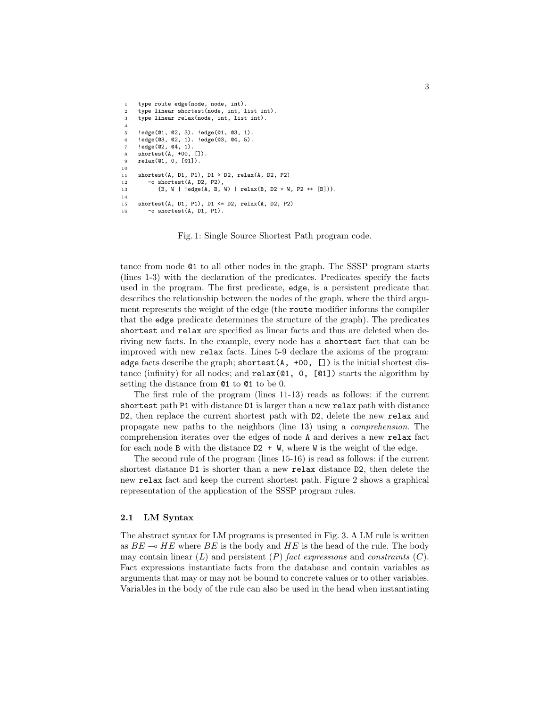```
1 type route edge(node, node, int).
2 type linear shortest(node, int, list int).
3 type linear relax(node, int, list int).
 4
 5 !edge(@1, @2, 3). !edge(@1, @3, 1).
 6 !edge(03, 02, 1). !edge(03, 04, 5).
 7 !edge(@2, @4, 1).
 8 shortest(A, +00, []).
9 relax(@1, 0, [@1]).
10
11 shortest(A, D1, P1), D1 > D2, relax(A, D2, P2)
12 -o shortest(A, D2, P2),
13 {B, W | !edge(A, B, W) | relax(B, D2 + W, P2 ++ [B])}.
14
15 shortest(A, D1, P1), D1 <= D2, relax(A, D2, P2)
16 -o shortest(A, D1, P1).
```
Fig. 1: Single Source Shortest Path program code.

tance from node @1 to all other nodes in the graph. The SSSP program starts (lines 1-3) with the declaration of the predicates. Predicates specify the facts used in the program. The first predicate, edge, is a persistent predicate that describes the relationship between the nodes of the graph, where the third argument represents the weight of the edge (the route modifier informs the compiler that the edge predicate determines the structure of the graph). The predicates shortest and relax are specified as linear facts and thus are deleted when deriving new facts. In the example, every node has a shortest fact that can be improved with new relax facts. Lines 5-9 declare the axioms of the program: edge facts describe the graph; shortest(A,  $+00$ , []) is the initial shortest distance (infinity) for all nodes; and  $relax(@1, 0, [@1])$  starts the algorithm by setting the distance from @1 to @1 to be 0.

The first rule of the program (lines 11-13) reads as follows: if the current shortest path P1 with distance D1 is larger than a new relax path with distance D2, then replace the current shortest path with D2, delete the new relax and propagate new paths to the neighbors (line 13) using a comprehension. The comprehension iterates over the edges of node A and derives a new relax fact for each node B with the distance  $D2 + W$ , where W is the weight of the edge.

The second rule of the program (lines 15-16) is read as follows: if the current shortest distance D1 is shorter than a new relax distance D2, then delete the new relax fact and keep the current shortest path. Figure 2 shows a graphical representation of the application of the SSSP program rules.

#### 2.1 LM Syntax

The abstract syntax for LM programs is presented in Fig. 3. A LM rule is written as  $BE \rightarrow HE$  where  $BE$  is the body and  $HE$  is the head of the rule. The body may contain linear  $(L)$  and persistent  $(P)$  fact expressions and constraints  $(C)$ . Fact expressions instantiate facts from the database and contain variables as arguments that may or may not be bound to concrete values or to other variables. Variables in the body of the rule can also be used in the head when instantiating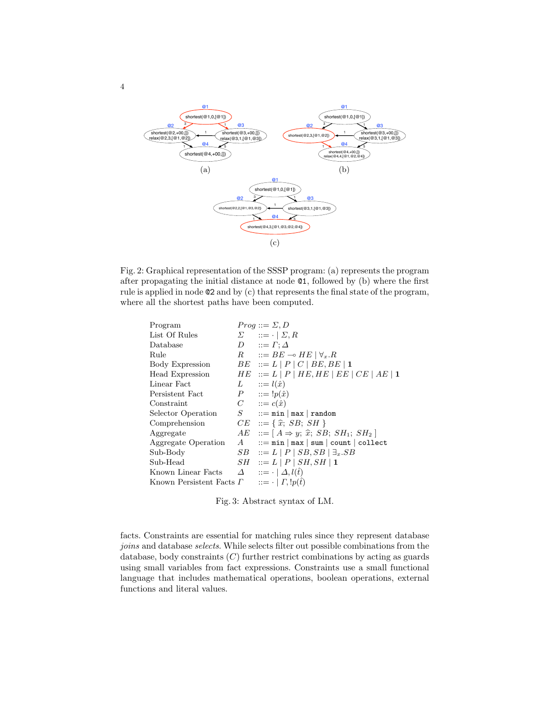

Fig. 2: Graphical representation of the SSSP program: (a) represents the program after propagating the initial distance at node @1, followed by (b) where the first rule is applied in node @2 and by (c) that represents the final state of the program, where all the shortest paths have been computed.

| Program                                                           | $Proq ::= \Sigma, D$                                  |
|-------------------------------------------------------------------|-------------------------------------------------------|
| List Of Rules                                                     | $\Sigma$ ::= $\cdot$   $\Sigma$ , R                   |
| $_{\rm Database}$                                                 | $D$ := $\Gamma$ : $\Delta$                            |
| Rule                                                              | $R$ ::= $BE \rightarrow HE \mid \forall_x . R$        |
| Body Expression                                                   | $BE$ ::= $L   P   C   BE, BE   1$                     |
| Head Expression                                                   | $HE ::= L   P   HE, HE   EE   CE   AE   1$            |
| Linear Fact                                                       | $L$ $::= l(\hat{x})$                                  |
| Persistent Fact                                                   | $P$ := $!p(\hat{x})$                                  |
| $\text{Constant}$                                                 | $C$ ::= $c(\hat{x})$                                  |
| Selector Operation                                                | $S$ : $=$ min   max   random                          |
| Comprehension                                                     | $CE$ ::= { $\hat{x}$ ; SB; SH }                       |
| Aggregate                                                         | $AE$ ::= $[A \Rightarrow y; \hat{x}; SB; SH_1; SH_2]$ |
| Aggregate Operation                                               | $A$ : $=$ min   max   sum   count   collect           |
| $\operatorname{Sub-Body}$                                         | $SB$ ::= $L   P   SB, SB   \exists_x .SB$             |
| Sub-Head                                                          | $SH$ ::= $L   P   SH, SH   1$                         |
| Known Linear Facts                                                | $\Delta$ ::= $\cdot$   $\Delta$ , $l(t)$              |
| Known Persistent Facts $\Gamma$ ::= $\cdot   \Gamma, !p(\hat{t})$ |                                                       |

Fig. 3: Abstract syntax of LM.

facts. Constraints are essential for matching rules since they represent database joins and database selects. While selects filter out possible combinations from the database, body constraints  $(C)$  further restrict combinations by acting as guards using small variables from fact expressions. Constraints use a small functional language that includes mathematical operations, boolean operations, external functions and literal values.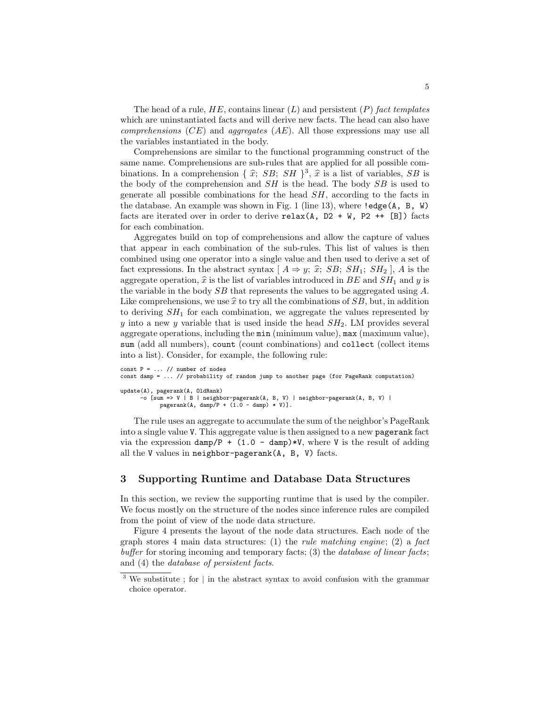The head of a rule,  $HE$ , contains linear  $(L)$  and persistent  $(P)$  fact templates which are uninstantiated facts and will derive new facts. The head can also have comprehensions  $(CE)$  and aggregates  $(AE)$ . All those expressions may use all the variables instantiated in the body.

Comprehensions are similar to the functional programming construct of the same name. Comprehensions are sub-rules that are applied for all possible combinations. In a comprehension  $\{\hat{x}; SB; SH\}^3$ ,  $\hat{x}$  is a list of variables, SB is the heady of the comprehension and  $SH$  is the head. The heady  $SB$  is used to the body of the comprehension and  $SH$  is the head. The body  $SB$  is used to generate all possible combinations for the head  $SH$ , according to the facts in the database. An example was shown in Fig. 1 (line 13), where !edge(A, B, W) facts are iterated over in order to derive relax(A, D2 + W, P2 ++ [B]) facts for each combination.

Aggregates build on top of comprehensions and allow the capture of values that appear in each combination of the sub-rules. This list of values is then combined using one operator into a single value and then used to derive a set of fact expressions. In the abstract syntax  $[A \Rightarrow y; \hat{x}; SB; SH_1; SH_2]$ , A is the aggregate operation,  $\hat{x}$  is the list of variables introduced in BE and SH<sub>1</sub> and y is the variable in the body  $SB$  that represents the values to be aggregated using A. Like comprehensions, we use  $\hat{x}$  to try all the combinations of  $SB$ , but, in addition to deriving  $SH_1$  for each combination, we aggregate the values represented by y into a new y variable that is used inside the head  $SH_2$ . LM provides several aggregate operations, including the min (minimum value), max (maximum value), sum (add all numbers), count (count combinations) and collect (collect items into a list). Consider, for example, the following rule:

```
const P = ... // number of nodes
const damp = ... // probability of random jump to another page (for PageRank computation)
update(A), pagerank(A, OldRank)
      -o [sum => V | B | neighbor-pagerank(A, B, V) | neighbor-pagerank(A, B, V) |
            pagerank(A, damp/P + (1.0 - damp) * V)].
```
The rule uses an aggregate to accumulate the sum of the neighbor's PageRank into a single value V. This aggregate value is then assigned to a new pagerank fact via the expression damp/P +  $(1.0 - \text{damp})*V$ , where V is the result of adding all the V values in neighbor-pagerank(A, B, V) facts.

### 3 Supporting Runtime and Database Data Structures

In this section, we review the supporting runtime that is used by the compiler. We focus mostly on the structure of the nodes since inference rules are compiled from the point of view of the node data structure.

Figure 4 presents the layout of the node data structures. Each node of the graph stores 4 main data structures: (1) the *rule matching engine*; (2) a fact buffer for storing incoming and temporary facts; (3) the *database of linear facts*; and (4) the database of persistent facts.

 $3$  We substitute ; for  $|$  in the abstract syntax to avoid confusion with the grammar choice operator.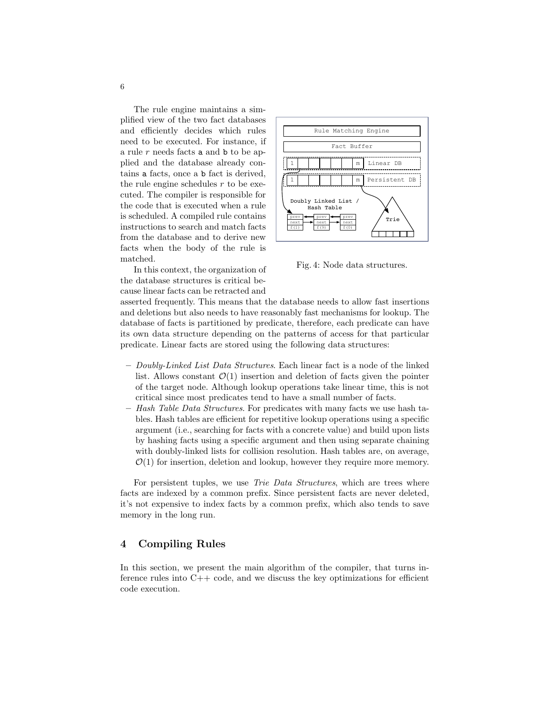The rule engine maintains a simplified view of the two fact databases and efficiently decides which rules need to be executed. For instance, if a rule  $r$  needs facts **a** and **b** to be applied and the database already contains a facts, once a b fact is derived, the rule engine schedules  $r$  to be executed. The compiler is responsible for the code that is executed when a rule is scheduled. A compiled rule contains instructions to search and match facts from the database and to derive new facts when the body of the rule is matched.

In this context, the organization of the database structures is critical because linear facts can be retracted and



Fig. 4: Node data structures.

asserted frequently. This means that the database needs to allow fast insertions and deletions but also needs to have reasonably fast mechanisms for lookup. The database of facts is partitioned by predicate, therefore, each predicate can have its own data structure depending on the patterns of access for that particular predicate. Linear facts are stored using the following data structures:

- $-$  Doubly-Linked List Data Structures. Each linear fact is a node of the linked list. Allows constant  $\mathcal{O}(1)$  insertion and deletion of facts given the pointer of the target node. Although lookup operations take linear time, this is not critical since most predicates tend to have a small number of facts.
- Hash Table Data Structures. For predicates with many facts we use hash tables. Hash tables are efficient for repetitive lookup operations using a specific argument (i.e., searching for facts with a concrete value) and build upon lists by hashing facts using a specific argument and then using separate chaining with doubly-linked lists for collision resolution. Hash tables are, on average,  $\mathcal{O}(1)$  for insertion, deletion and lookup, however they require more memory.

For persistent tuples, we use *Trie Data Structures*, which are trees where facts are indexed by a common prefix. Since persistent facts are never deleted, it's not expensive to index facts by a common prefix, which also tends to save memory in the long run.

## 4 Compiling Rules

In this section, we present the main algorithm of the compiler, that turns inference rules into  $C++$  code, and we discuss the key optimizations for efficient code execution.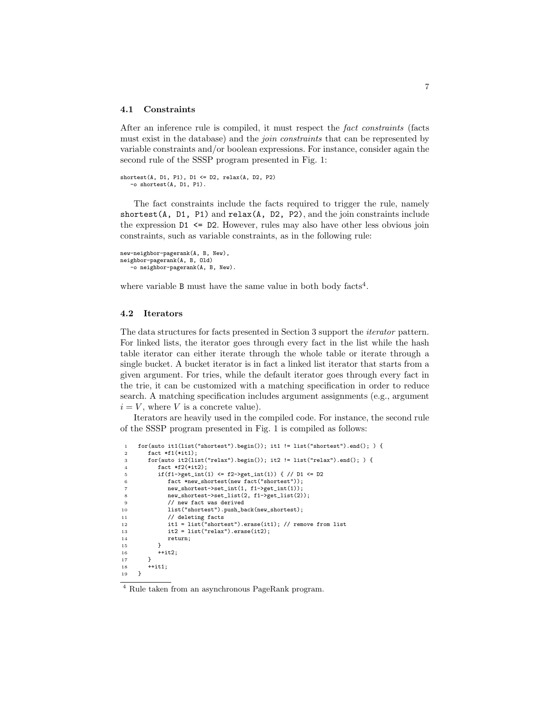#### 4.1 Constraints

After an inference rule is compiled, it must respect the fact constraints (facts must exist in the database) and the join constraints that can be represented by variable constraints and/or boolean expressions. For instance, consider again the second rule of the SSSP program presented in Fig. 1:

```
shortest(A, D1, P1), D1 <= D2, relax(A, D2, P2)
   -o shortest(A, D1, P1).
```
The fact constraints include the facts required to trigger the rule, namely shortest(A,  $D1$ ,  $P1$ ) and  $relax(A, D2, P2)$ , and the join constraints include the expression D1 <= D2. However, rules may also have other less obvious join constraints, such as variable constraints, as in the following rule:

new-neighbor-pagerank(A, B, New), neighbor-pagerank(A, B, Old) -o neighbor-pagerank(A, B, New).

where variable  $B$  must have the same value in both body facts<sup>4</sup>.

#### 4.2 Iterators

The data structures for facts presented in Section 3 support the iterator pattern. For linked lists, the iterator goes through every fact in the list while the hash table iterator can either iterate through the whole table or iterate through a single bucket. A bucket iterator is in fact a linked list iterator that starts from a given argument. For tries, while the default iterator goes through every fact in the trie, it can be customized with a matching specification in order to reduce search. A matching specification includes argument assignments (e.g., argument  $i = V$ , where V is a concrete value).

Iterators are heavily used in the compiled code. For instance, the second rule of the SSSP program presented in Fig. 1 is compiled as follows:

```
1 for(auto it1(list("shortest").begin()); it1 != list("shortest").end(); ) {
2 fact *f1(*it1);
3 for(auto it2(list("relax").begin()); it2 != list("relax").end(); ) {
 4 fact *f2(*it2);
 5 if(f1->get_int(1) <= f2->get_int(1)) { // D1 <= D2
 6 fact *new_shortest(new fact("shortest"));
 7 new_shortest->set_int(1, f1->get_int(1));
 8 new_shortest->set_list(2, f1->get_list(2));
9 // new fact was derived
10 list("shortest").push_back(new_shortest);
11 // deleting facts
12 it1 = list("shortest").erase(it1); // remove from list
13 it2 = list("relax") .erase(it2);14 return;
\begin{array}{ccc} 15 & & & \end{array}<br>16 +
       +it2;
17 }
18 ++11;<br>19 +19 }
```
 $^4$  Rule taken from an asynchronous PageRank program.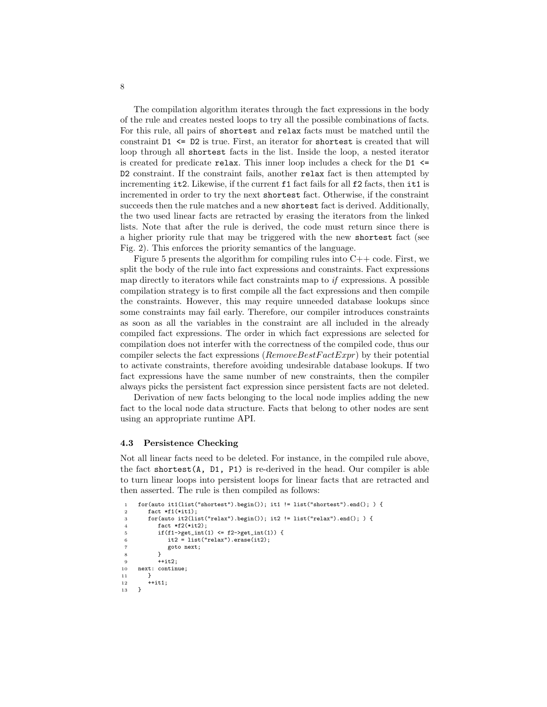The compilation algorithm iterates through the fact expressions in the body of the rule and creates nested loops to try all the possible combinations of facts. For this rule, all pairs of shortest and relax facts must be matched until the constraint D1 <= D2 is true. First, an iterator for shortest is created that will loop through all shortest facts in the list. Inside the loop, a nested iterator is created for predicate relax. This inner loop includes a check for the  $D1 \le$ D2 constraint. If the constraint fails, another relax fact is then attempted by incrementing it2. Likewise, if the current f1 fact fails for all f2 facts, then it1 is incremented in order to try the next shortest fact. Otherwise, if the constraint succeeds then the rule matches and a new shortest fact is derived. Additionally, the two used linear facts are retracted by erasing the iterators from the linked lists. Note that after the rule is derived, the code must return since there is a higher priority rule that may be triggered with the new shortest fact (see Fig. 2). This enforces the priority semantics of the language.

Figure 5 presents the algorithm for compiling rules into  $C++$  code. First, we split the body of the rule into fact expressions and constraints. Fact expressions map directly to iterators while fact constraints map to  $if$  expressions. A possible compilation strategy is to first compile all the fact expressions and then compile the constraints. However, this may require unneeded database lookups since some constraints may fail early. Therefore, our compiler introduces constraints as soon as all the variables in the constraint are all included in the already compiled fact expressions. The order in which fact expressions are selected for compilation does not interfer with the correctness of the compiled code, thus our compiler selects the fact expressions ( $RemoveBestFactExpr$ ) by their potential to activate constraints, therefore avoiding undesirable database lookups. If two fact expressions have the same number of new constraints, then the compiler always picks the persistent fact expression since persistent facts are not deleted.

Derivation of new facts belonging to the local node implies adding the new fact to the local node data structure. Facts that belong to other nodes are sent using an appropriate runtime API.

#### 4.3 Persistence Checking

Not all linear facts need to be deleted. For instance, in the compiled rule above, the fact shortest $(A, D1, P1)$  is re-derived in the head. Our compiler is able to turn linear loops into persistent loops for linear facts that are retracted and then asserted. The rule is then compiled as follows:

```
1 for(auto it1(list("shortest").begin()); it1 != list("shortest").end(); ) {
2 fact *f1(*it1);
3 for(auto it2(list("relax").begin()); it2 != list("relax").end(); ) {
4 fact *f2(*it2);
5 if(f1->get_int(1) <= f2->get_int(1)) {
6 it2 = list("relax").erase(it2);
          goto next;
 8 }
9 + 11210 next: continue;
11 }
\begin{array}{cc}\n 12 & +\text{tit1;} \\
 13 & \end{array}13 }
```
8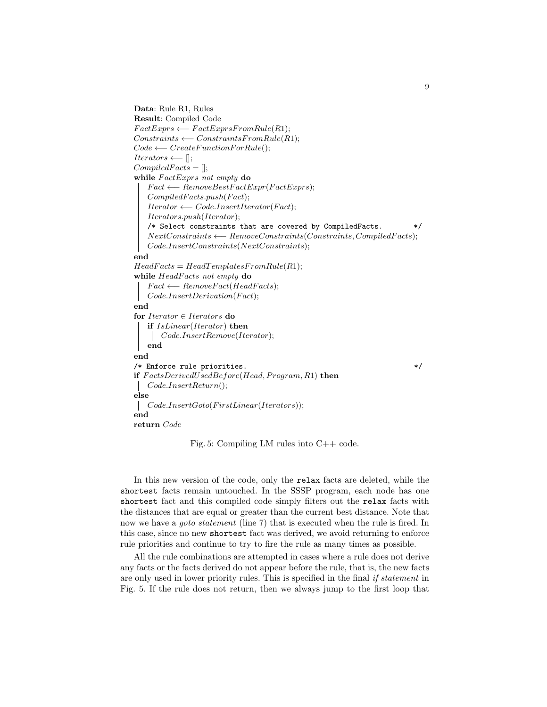```
Data: Rule R1, Rules
Result: Compiled Code
Fact Express \longleftarrow FactExpress FromRule(R1);Constraints \longleftarrow ConstraintsFromRule(R1);Code \longleftarrow CreateFunctionForRule();Iterators ← [];
Complied Facts = [];
while FactExpress not empty do
   Fact \longleftarrow RemoveBestFactExpr(FactExpress);Complied Facts.push(Fact);Iterator \longleftarrow Code-InsertIterator(Fact);Iterators.push(Iterator);
   /* Select constraints that are covered by CompiledFacts. */
   NextConstraints \longleftarrow RemoveConstraints(Constraints, Complied Facts);Code.InsertConstraints(NextConstraints);
end
Head Facts = HeadTemplatesFromRule(R1);while HeadFacts not empty do
   Fact \longleftarrow RemoveFact(Head Facts);Code. InsertDerivation(Fact);end
for Iterator ∈ Iterators do
   if IsLinear(Iterator) then
      Code.InsertRemove(Iterator);
    \mathbb{I}end
end
/* Enforce rule priorities. */
if FactorsDerivedUsedBefore(Head, Program, R1) then
  Code.InsertReturn();
else
\vert Code.InsertGoto(FirstLinear(Iterators));
end
return Code
```
Fig. 5: Compiling LM rules into C++ code.

In this new version of the code, only the relax facts are deleted, while the shortest facts remain untouched. In the SSSP program, each node has one shortest fact and this compiled code simply filters out the relax facts with the distances that are equal or greater than the current best distance. Note that now we have a *goto statement* (line 7) that is executed when the rule is fired. In this case, since no new shortest fact was derived, we avoid returning to enforce rule priorities and continue to try to fire the rule as many times as possible.

All the rule combinations are attempted in cases where a rule does not derive any facts or the facts derived do not appear before the rule, that is, the new facts are only used in lower priority rules. This is specified in the final if statement in Fig. 5. If the rule does not return, then we always jump to the first loop that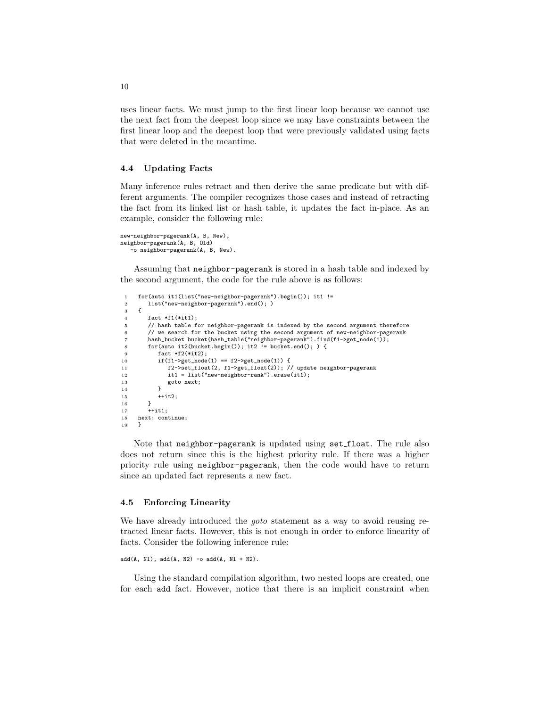uses linear facts. We must jump to the first linear loop because we cannot use the next fact from the deepest loop since we may have constraints between the first linear loop and the deepest loop that were previously validated using facts that were deleted in the meantime.

#### 4.4 Updating Facts

Many inference rules retract and then derive the same predicate but with different arguments. The compiler recognizes those cases and instead of retracting the fact from its linked list or hash table, it updates the fact in-place. As an example, consider the following rule:

```
new-neighbor-pagerank(A, B, New),
neighbor-pagerank(A, B, Old)
   -o neighbor-pagerank(A, B, New).
```
Assuming that neighbor-pagerank is stored in a hash table and indexed by the second argument, the code for the rule above is as follows:

```
1 for(auto it1(list("new-neighbor-pagerank").begin()); it1 !=
 2 list("new-neighbor-pagerank").end(); )<br>3 {
      \mathfrak{c}4 fact *f1(*it1);
 5 // hash table for neighbor-pagerank is indexed by the second argument therefore<br>6 // we search for the bucket using the second argument of new-neighbor-pagerank
         // we search for the bucket using the second argument of new-neighbor-pagerank
 7 hash_bucket bucket(hash_table("neighbor-pagerank").find(f1->get_node(1));
 8 for(auto it2(bucket.begin()); it2 != bucket.end(); ) {
 9 fact *f2(*it2);
10 if(f1-\text{Set\_node}(1)) = f2-\text{Set\_node}(1)) {<br>
f2-\text{Set }float(2, f1-\text{Set }float(2)) :
                11 f2->set_float(2, f1->get_float(2)); // update neighbor-pagerank
12 it1 = list("new-neighbor-rank").erase(it1);
13 goto next;<br>14 }
14 }
15 ++it2;16 }
17 ++it1;
18 next: continue;
19 }
```
Note that neighbor-pagerank is updated using set float. The rule also does not return since this is the highest priority rule. If there was a higher priority rule using neighbor-pagerank, then the code would have to return since an updated fact represents a new fact.

#### 4.5 Enforcing Linearity

We have already introduced the *goto* statement as a way to avoid reusing retracted linear facts. However, this is not enough in order to enforce linearity of facts. Consider the following inference rule:

```
add(A, N1), add(A, N2) -o add(A, N1 + N2).
```
Using the standard compilation algorithm, two nested loops are created, one for each add fact. However, notice that there is an implicit constraint when

10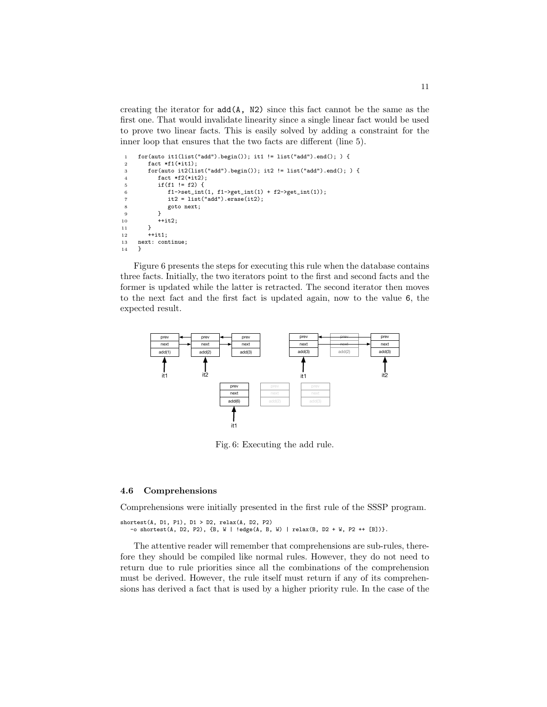creating the iterator for  $add(A, N2)$  since this fact cannot be the same as the first one. That would invalidate linearity since a single linear fact would be used to prove two linear facts. This is easily solved by adding a constraint for the inner loop that ensures that the two facts are different (line 5).

```
for(auto it1(list("add").begin()); it1 != list("add").end(); ) {
 2 fact *f1(*it1);
 3 for(auto it2(list("add").begin()); it2 != list("add").end(); ) {
 4 fact *f2(*it2);<br>5 if(f1 l= f2) {
           if(f1 | = f2)6 f1->set_int(1, f1->get_int(1) + f2->get_int(1));
              it2 = list("add") .erase(it2);8 goto next;
 9 }
10 +it2;<br>11 }
\begin{array}{c} 11 \\ 12 \end{array}12 ++it1;
     next: continue;<br>}
14 }
```
Figure 6 presents the steps for executing this rule when the database contains three facts. Initially, the two iterators point to the first and second facts and the former is updated while the latter is retracted. The second iterator then moves to the next fact and the first fact is updated again, now to the value 6, the expected result.



Fig. 6: Executing the add rule.

### 4.6 Comprehensions

Comprehensions were initially presented in the first rule of the SSSP program.

```
shortest(A, D1, P1), D1 > D2, relax(A, D2, P2)
   -o shortest(A, D2, P2), {B, W | !edge(A, B, W) | relax(B, D2 + W, P2 ++ [B])}.
```
The attentive reader will remember that comprehensions are sub-rules, therefore they should be compiled like normal rules. However, they do not need to return due to rule priorities since all the combinations of the comprehension must be derived. However, the rule itself must return if any of its comprehensions has derived a fact that is used by a higher priority rule. In the case of the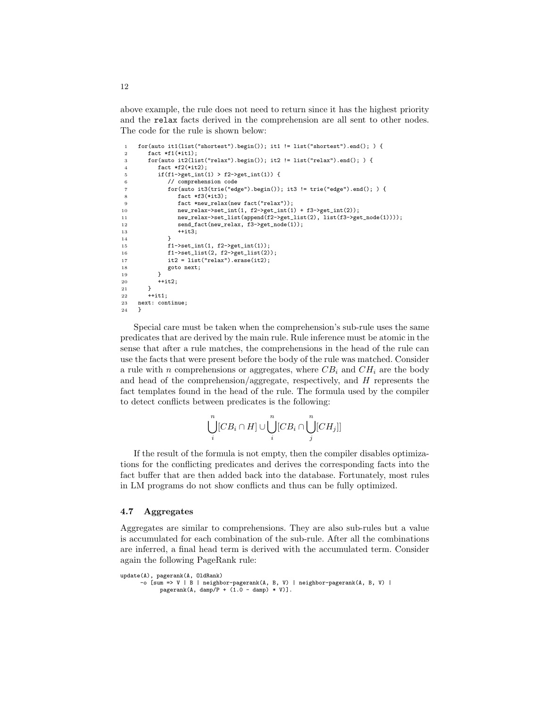above example, the rule does not need to return since it has the highest priority and the relax facts derived in the comprehension are all sent to other nodes. The code for the rule is shown below:

```
for(auto it1(list("shortest").begin()); it1 != list("shortest").end(); ) {
2 fact *f1(*it1);
3 for(auto it2(list("relax").begin()); it2 != list("relax").end(); ) {
 4 fact *f2(*it2);
 5 if(f1->get_int(1) > f2->get_int(1)) {
 6 // comprehension code
 7 for(auto it3(trie("edge").begin()); it3 != trie("edge").end(); ) {
 8 fact *f3(*it3);
9 fact *new_relax(new fact("relax"));
10 new_relax->set_int(1, f2->get_int(1) + f3->get_int(2));
11 new_relax->set_list(append(f2->get_list(2), list(f3->get_node(1))));
12 send_fact(new_relax, f3->get_node(1));
13 ++it3;
14 }
15 f1->set_int(1, f2->get_int(1));
16 f1->set_list(2, f2->get_list(2));
17 it2 = list("relax").erase(it2);
18 goto next;<br>19 }
19 }
20 ++it2;<br>21 }
21 }
22 ++it1;<br>23 next:connext: continue:
24 }
```
Special care must be taken when the comprehension's sub-rule uses the same predicates that are derived by the main rule. Rule inference must be atomic in the sense that after a rule matches, the comprehensions in the head of the rule can use the facts that were present before the body of the rule was matched. Consider a rule with n comprehensions or aggregates, where  $CB_i$  and  $CH_i$  are the body and head of the comprehension/aggregate, respectively, and  $H$  represents the fact templates found in the head of the rule. The formula used by the compiler to detect conflicts between predicates is the following:

$$
\bigcup_{i}^{n} [CB_i \cap H] \cup \bigcup_{i}^{n} [CB_i \cap \bigcup_{j}^{n} [CH_j]]
$$

If the result of the formula is not empty, then the compiler disables optimizations for the conflicting predicates and derives the corresponding facts into the fact buffer that are then added back into the database. Fortunately, most rules in LM programs do not show conflicts and thus can be fully optimized.

#### 4.7 Aggregates

Aggregates are similar to comprehensions. They are also sub-rules but a value is accumulated for each combination of the sub-rule. After all the combinations are inferred, a final head term is derived with the accumulated term. Consider again the following PageRank rule:

```
update(A), pagerank(A, OldRank)
      -o [sum => V | B | neighbor-pagerank(A, B, V) | neighbor-pagerank(A, B, V) |
           pagerank(A, damp/P + (1.0 - damp) * V)].
```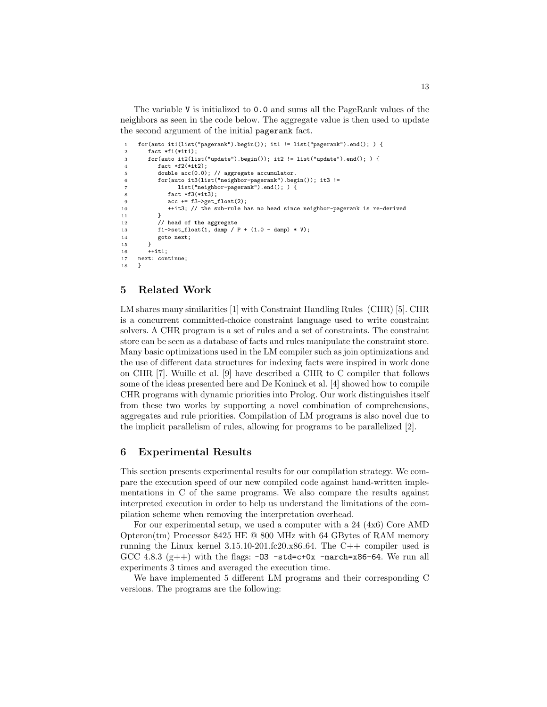The variable V is initialized to 0.0 and sums all the PageRank values of the neighbors as seen in the code below. The aggregate value is then used to update the second argument of the initial pagerank fact.

```
1 for(auto it1(list("pagerank").begin()); it1 != list("pagerank").end(); ) {
2 fact *f1(*it1):3 for(auto it2(list("update").begin()); it2 != list("update").end(); ) {
4 fact *f2(*it2);
5 double acc(0.0); // aggregate accumulator.
6 for(auto it3(list("neighbor-pagerank").begin()); it3 !=
7 list("neighbor-pagerank").end(); ) {
8 fact *f3(*it3);
9 acc += f3->get_float(2);
10 ++it3; // the sub-rule has no head since neighbor-pagerank is re-derived
11 }
12 // head of the aggregate<br>13 f1->set float(1 damn / 1
          f1-\text{Set\_float}(1, \text{ damp } / P + (1.0 - \text{ damp}) * V);14 goto next;<br>15 }
15 }
16 ++it1;
17 next: continue;<br>18 }
18 }
```
## 5 Related Work

LM shares many similarities [1] with Constraint Handling Rules (CHR) [5]. CHR is a concurrent committed-choice constraint language used to write constraint solvers. A CHR program is a set of rules and a set of constraints. The constraint store can be seen as a database of facts and rules manipulate the constraint store. Many basic optimizations used in the LM compiler such as join optimizations and the use of different data structures for indexing facts were inspired in work done on CHR [7]. Wuille et al. [9] have described a CHR to C compiler that follows some of the ideas presented here and De Koninck et al. [4] showed how to compile CHR programs with dynamic priorities into Prolog. Our work distinguishes itself from these two works by supporting a novel combination of comprehensions, aggregates and rule priorities. Compilation of LM programs is also novel due to the implicit parallelism of rules, allowing for programs to be parallelized [2].

## 6 Experimental Results

This section presents experimental results for our compilation strategy. We compare the execution speed of our new compiled code against hand-written implementations in C of the same programs. We also compare the results against interpreted execution in order to help us understand the limitations of the compilation scheme when removing the interpretation overhead.

For our experimental setup, we used a computer with a 24 (4x6) Core AMD Opteron(tm) Processor 8425 HE @ 800 MHz with 64 GBytes of RAM memory running the Linux kernel  $3.15.10-201.fc20.x86.64$ . The C++ compiler used is GCC 4.8.3  $(g++)$  with the flags:  $-03$   $-std=c+0x$   $-march=x86-64$ . We run all experiments 3 times and averaged the execution time.

We have implemented 5 different LM programs and their corresponding C versions. The programs are the following: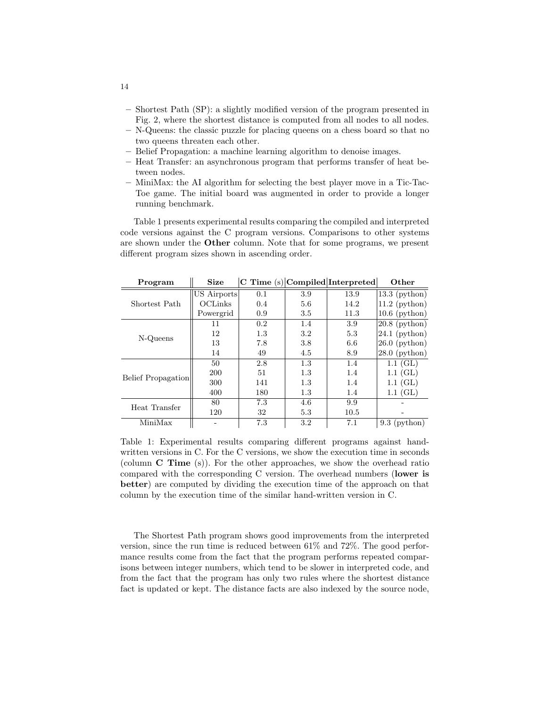- Shortest Path (SP): a slightly modified version of the program presented in Fig. 2, where the shortest distance is computed from all nodes to all nodes.
- N-Queens: the classic puzzle for placing queens on a chess board so that no two queens threaten each other.
- Belief Propagation: a machine learning algorithm to denoise images.
- Heat Transfer: an asynchronous program that performs transfer of heat between nodes.
- MiniMax: the AI algorithm for selecting the best player move in a Tic-Tac-Toe game. The initial board was augmented in order to provide a longer running benchmark.

Table 1 presents experimental results comparing the compiled and interpreted code versions against the C program versions. Comparisons to other systems are shown under the Other column. Note that for some programs, we present different program sizes shown in ascending order.

| Program            | <b>Size</b>    |     |     | C Time (s) Compiled Interpreted | Other           |
|--------------------|----------------|-----|-----|---------------------------------|-----------------|
| Shortest Path      | US Airports    | 0.1 | 3.9 | 13.9                            | $13.3$ (python) |
|                    | <b>OCLinks</b> | 0.4 | 5.6 | 14.2                            | $11.2$ (python) |
|                    | Powergrid      | 0.9 | 3.5 | 11.3                            | $10.6$ (python) |
| N-Queens           | 11             | 0.2 | 1.4 | 3.9                             | $20.8$ (python) |
|                    | 12             | 1.3 | 3.2 | 5.3                             | $24.1$ (python) |
|                    | 13             | 7.8 | 3.8 | 6.6                             | $26.0$ (python) |
|                    | 14             | 49  | 4.5 | 8.9                             | $28.0$ (python) |
| Belief Propagation | 50             | 2.8 | 1.3 | 1.4                             | $1.1$ (GL)      |
|                    | 200            | 51  | 1.3 | 1.4                             | $1.1$ (GL)      |
|                    | 300            | 141 | 1.3 | 1.4                             | $1.1$ (GL)      |
|                    | 400            | 180 | 1.3 | 1.4                             | $1.1$ (GL)      |
| Heat Transfer      | 80             | 7.3 | 4.6 | 9.9                             |                 |
|                    | 120            | 32  | 5.3 | 10.5                            |                 |
| MiniMax            |                | 7.3 | 3.2 | 7.1                             | $9.3$ (python)  |

Table 1: Experimental results comparing different programs against handwritten versions in C. For the C versions, we show the execution time in seconds (column C Time (s)). For the other approaches, we show the overhead ratio compared with the corresponding C version. The overhead numbers (lower is better) are computed by dividing the execution time of the approach on that column by the execution time of the similar hand-written version in C.

The Shortest Path program shows good improvements from the interpreted version, since the run time is reduced between 61% and 72%. The good performance results come from the fact that the program performs repeated comparisons between integer numbers, which tend to be slower in interpreted code, and from the fact that the program has only two rules where the shortest distance fact is updated or kept. The distance facts are also indexed by the source node,

14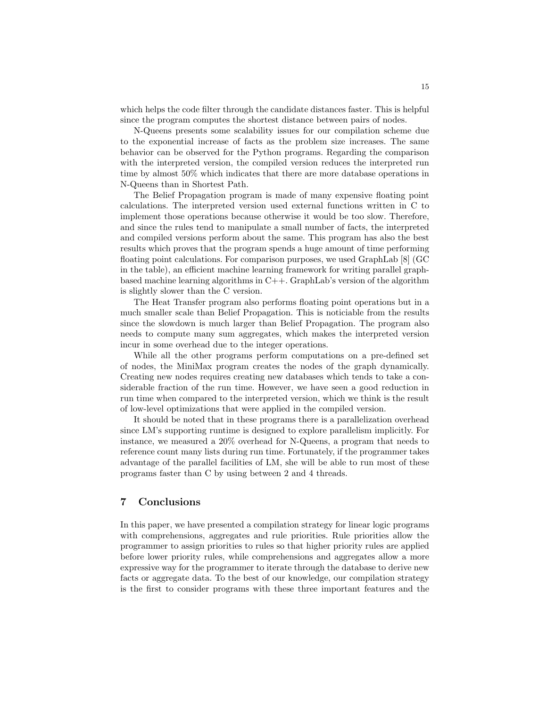which helps the code filter through the candidate distances faster. This is helpful since the program computes the shortest distance between pairs of nodes.

N-Queens presents some scalability issues for our compilation scheme due to the exponential increase of facts as the problem size increases. The same behavior can be observed for the Python programs. Regarding the comparison with the interpreted version, the compiled version reduces the interpreted run time by almost 50% which indicates that there are more database operations in N-Queens than in Shortest Path.

The Belief Propagation program is made of many expensive floating point calculations. The interpreted version used external functions written in C to implement those operations because otherwise it would be too slow. Therefore, and since the rules tend to manipulate a small number of facts, the interpreted and compiled versions perform about the same. This program has also the best results which proves that the program spends a huge amount of time performing floating point calculations. For comparison purposes, we used GraphLab [8] (GC in the table), an efficient machine learning framework for writing parallel graphbased machine learning algorithms in C++. GraphLab's version of the algorithm is slightly slower than the C version.

The Heat Transfer program also performs floating point operations but in a much smaller scale than Belief Propagation. This is noticiable from the results since the slowdown is much larger than Belief Propagation. The program also needs to compute many sum aggregates, which makes the interpreted version incur in some overhead due to the integer operations.

While all the other programs perform computations on a pre-defined set of nodes, the MiniMax program creates the nodes of the graph dynamically. Creating new nodes requires creating new databases which tends to take a considerable fraction of the run time. However, we have seen a good reduction in run time when compared to the interpreted version, which we think is the result of low-level optimizations that were applied in the compiled version.

It should be noted that in these programs there is a parallelization overhead since LM's supporting runtime is designed to explore parallelism implicitly. For instance, we measured a 20% overhead for N-Queens, a program that needs to reference count many lists during run time. Fortunately, if the programmer takes advantage of the parallel facilities of LM, she will be able to run most of these programs faster than C by using between 2 and 4 threads.

### 7 Conclusions

In this paper, we have presented a compilation strategy for linear logic programs with comprehensions, aggregates and rule priorities. Rule priorities allow the programmer to assign priorities to rules so that higher priority rules are applied before lower priority rules, while comprehensions and aggregates allow a more expressive way for the programmer to iterate through the database to derive new facts or aggregate data. To the best of our knowledge, our compilation strategy is the first to consider programs with these three important features and the